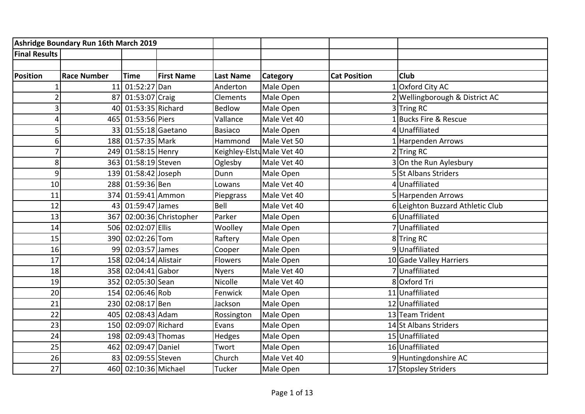|                      | Ashridge Boundary Run 16th March 2019 |                       |                          |                            |             |                     |                                  |
|----------------------|---------------------------------------|-----------------------|--------------------------|----------------------------|-------------|---------------------|----------------------------------|
| <b>Final Results</b> |                                       |                       |                          |                            |             |                     |                                  |
|                      |                                       |                       |                          |                            |             |                     |                                  |
| Position             | <b>Race Number</b>                    | <b>Time</b>           | <b>First Name</b>        | <b>Last Name</b>           | Category    | <b>Cat Position</b> | <b>Club</b>                      |
|                      | 11                                    | 01:52:27 Dan          |                          | Anderton                   | Male Open   |                     | Oxford City AC                   |
|                      | 87                                    | 01:53:07 Craig        |                          | Clements                   | Male Open   |                     | Wellingborough & District AC     |
| 3                    |                                       | 40 01:53:35 Richard   |                          | <b>Bedlow</b>              | Male Open   |                     | 3Tring RC                        |
| Δ                    | 465                                   | 01:53:56 Piers        |                          | Vallance                   | Male Vet 40 |                     | Bucks Fire & Rescue              |
| 5                    | 33                                    | 01:55:18 Gaetano      |                          | <b>Basiaco</b>             | Male Open   |                     | 4Unaffiliated                    |
| 6                    |                                       | 188 01:57:35 Mark     |                          | Hammond                    | Male Vet 50 |                     | 1 Harpenden Arrows               |
|                      |                                       | 249 01:58:15 Henry    |                          | Keighley-Elstu Male Vet 40 |             |                     | 2Tring RC                        |
| 8                    |                                       | 363 01:58:19 Steven   |                          | Oglesby                    | Male Vet 40 |                     | 3 On the Run Aylesbury           |
| 9                    |                                       | 139 01:58:42 Joseph   |                          | Dunn                       | Male Open   |                     | 5 St Albans Striders             |
| 10                   |                                       | 288 01:59:36 Ben      |                          | Lowans                     | Male Vet 40 |                     | 4Unaffiliated                    |
| 11                   |                                       | 374 01:59:41 Ammon    |                          | Piepgrass                  | Male Vet 40 |                     | 5 Harpenden Arrows               |
| 12                   |                                       | 43 01:59:47 James     |                          | Bell                       | Male Vet 40 |                     | 6 Leighton Buzzard Athletic Club |
| 13                   |                                       |                       | 367 02:00:36 Christopher | Parker                     | Male Open   |                     | 6Unaffiliated                    |
| 14                   |                                       | 506 02:02:07 Ellis    |                          | Woolley                    | Male Open   |                     | VUnaffiliated                    |
| 15                   |                                       | 390 02:02:26 Tom      |                          | Raftery                    | Male Open   |                     | 8Tring RC                        |
| 16                   |                                       | 99 02:03:57 James     |                          | Cooper                     | Male Open   |                     | 9Unaffiliated                    |
| 17                   |                                       | 158 02:04:14 Alistair |                          | <b>Flowers</b>             | Male Open   |                     | 10 Gade Valley Harriers          |
| 18                   |                                       | 358 02:04:41 Gabor    |                          | <b>Nyers</b>               | Male Vet 40 |                     | 7Unaffiliated                    |
| 19                   |                                       | 352 02:05:30 Sean     |                          | Nicolle                    | Male Vet 40 |                     | 8 Oxford Tri                     |
| 20                   |                                       | 154 02:06:46 Rob      |                          | Fenwick                    | Male Open   |                     | 11 Unaffiliated                  |
| 21                   |                                       | 230 02:08:17 Ben      |                          | Jackson                    | Male Open   |                     | 12 Unaffiliated                  |
| 22                   | 405                                   | $02:08:43$ Adam       |                          | Rossington                 | Male Open   |                     | 13 Team Trident                  |
| 23                   |                                       | 150 02:09:07 Richard  |                          | Evans                      | Male Open   |                     | 14 St Albans Striders            |
| 24                   |                                       | 198 02:09:43 Thomas   |                          | Hedges                     | Male Open   |                     | 15 Unaffiliated                  |
| 25                   | 462                                   | 02:09:47 Daniel       |                          | Twort                      | Male Open   |                     | 16 Unaffiliated                  |
| 26                   | 83                                    | 02:09:55 Steven       |                          | Church                     | Male Vet 40 |                     | 9 Huntingdonshire AC             |
| 27                   |                                       | 460 02:10:36 Michael  |                          | Tucker                     | Male Open   |                     | 17 Stopsley Striders             |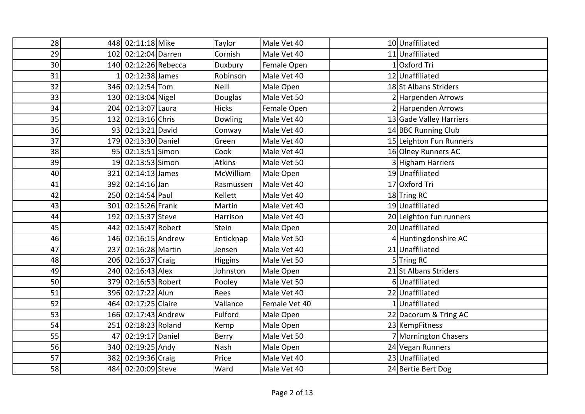| 28              |    | 448 02:11:18 Mike    | Taylor        | Male Vet 40   | 10 Unaffiliated         |
|-----------------|----|----------------------|---------------|---------------|-------------------------|
| 29              |    | 102 02:12:04 Darren  | Cornish       | Male Vet 40   | 11 Unaffiliated         |
| 30 <sup>1</sup> |    | 140 02:12:26 Rebecca | Duxbury       | Female Open   | IOxford Tri             |
| 31              |    | 02:12:38 James       | Robinson      | Male Vet 40   | 12 Unaffiliated         |
| 32              |    | 346 02:12:54 Tom     | Neill         | Male Open     | 18 St Albans Striders   |
| 33              |    | 130 02:13:04 Nigel   | Douglas       | Male Vet 50   | 2 Harpenden Arrows      |
| 34              |    | 204 02:13:07 Laura   | <b>Hicks</b>  | Female Open   | 2 Harpenden Arrows      |
| 35              |    | 132 02:13:16 Chris   | Dowling       | Male Vet 40   | 13 Gade Valley Harriers |
| 36              |    | 93 02:13:21 David    | Conway        | Male Vet 40   | 14 BBC Running Club     |
| 37              |    | 179 02:13:30 Daniel  | Green         | Male Vet 40   | 15 Leighton Fun Runners |
| 38              |    | 95 02:13:51 Simon    | Cook          | Male Vet 40   | 16 Olney Runners AC     |
| 39              |    | 19 02:13:53 Simon    | <b>Atkins</b> | Male Vet 50   | 3 Higham Harriers       |
| 40              |    | 321 02:14:13 James   | McWilliam     | Male Open     | 19 Unaffiliated         |
| 41              |    | 392 02:14:16 Jan     | Rasmussen     | Male Vet 40   | 17 Oxford Tri           |
| 42              |    | 250 02:14:54 Paul    | Kellett       | Male Vet 40   | 18Tring RC              |
| 43              |    | 301 02:15:26 Frank   | Martin        | Male Vet 40   | 19 Unaffiliated         |
| 44              |    | 192 02:15:37 Steve   | Harrison      | Male Vet 40   | 20 Leighton fun runners |
| 45              |    | 442 02:15:47 Robert  | Stein         | Male Open     | 20 Unaffiliated         |
| 46              |    | 146 02:16:15 Andrew  | Enticknap     | Male Vet 50   | 4 Huntingdonshire AC    |
| 47              |    | 237 02:16:28 Martin  | Jensen        | Male Vet 40   | 21 Unaffiliated         |
| 48              |    | 206 02:16:37 Craig   | Higgins       | Male Vet 50   | 5Tring RC               |
| 49              |    | 240 02:16:43 Alex    | Johnston      | Male Open     | 21 St Albans Striders   |
| 50              |    | 379 02:16:53 Robert  | Pooley        | Male Vet 50   | 6Unaffiliated           |
| 51              |    | 396 02:17:22 Alun    | Rees          | Male Vet 40   | 22 Unaffiliated         |
| 52              |    | 464 02:17:25 Claire  | Vallance      | Female Vet 40 | 1 Unaffiliated          |
| 53              |    | 166 02:17:43 Andrew  | Fulford       | Male Open     | 22 Dacorum & Tring AC   |
| 54              |    | 251 02:18:23 Roland  | Kemp          | Male Open     | 23 KempFitness          |
| 55              | 47 | 02:19:17 Daniel      | Berry         | Male Vet 50   | Mornington Chasers      |
| 56              |    | 340 02:19:25 Andy    | Nash          | Male Open     | 24 Vegan Runners        |
| 57              |    | 382 02:19:36 Craig   | Price         | Male Vet 40   | 23 Unaffiliated         |
| 58              |    | 484 02:20:09 Steve   | Ward          | Male Vet 40   | 24 Bertie Bert Dog      |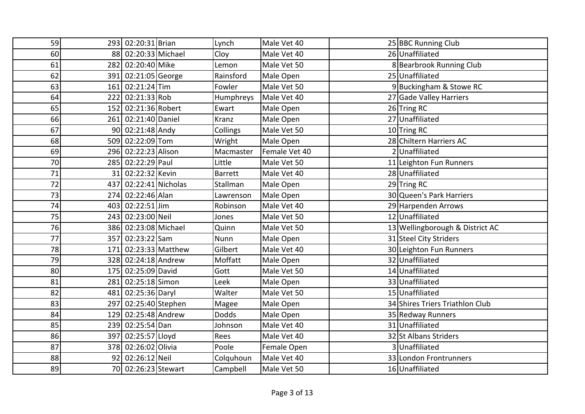| 59 |     | 293 02:20:31 Brian   |                      | Lynch          | Male Vet 40   | 25 BBC Running Club             |
|----|-----|----------------------|----------------------|----------------|---------------|---------------------------------|
| 60 |     | 88 02:20:33 Michael  |                      | Cloy           | Male Vet 40   | 26 Unaffiliated                 |
| 61 |     | 282 02:20:40 Mike    |                      | Lemon          | Male Vet 50   | 8 Bearbrook Running Club        |
| 62 |     | 391 02:21:05 George  |                      | Rainsford      | Male Open     | 25 Unaffiliated                 |
| 63 |     | 161 02:21:24 Tim     |                      | Fowler         | Male Vet 50   | 9 Buckingham & Stowe RC         |
| 64 |     | 222 02:21:33 Rob     |                      | Humphreys      | Male Vet 40   | 27 Gade Valley Harriers         |
| 65 |     | 152 02:21:36 Robert  |                      | Ewart          | Male Open     | 26 Tring RC                     |
| 66 |     | 261 02:21:40 Daniel  |                      | Kranz          | Male Open     | 27 Unaffiliated                 |
| 67 |     | 90 02:21:48 Andy     |                      | Collings       | Male Vet 50   | 10Tring RC                      |
| 68 |     | 509 02:22:09 Tom     |                      | Wright         | Male Open     | 28 Chiltern Harriers AC         |
| 69 |     | 296 02:22:23 Alison  |                      | Macmaster      | Female Vet 40 | 2 Unaffiliated                  |
| 70 |     | 285 02:22:29 Paul    |                      | Little         | Male Vet 50   | 11 Leighton Fun Runners         |
| 71 |     | 31 02:22:32 Kevin    |                      | <b>Barrett</b> | Male Vet 40   | 28 Unaffiliated                 |
| 72 | 437 | 02:22:41 Nicholas    |                      | Stallman       | Male Open     | 29 Tring RC                     |
| 73 |     | 274 02:22:46 Alan    |                      | Lawrenson      | Male Open     | 30 Queen's Park Harriers        |
| 74 |     | 403 02:22:51 Jim     |                      | Robinson       | Male Vet 40   | 29 Harpenden Arrows             |
| 75 |     | 243 02:23:00 Neil    |                      | Jones          | Male Vet 50   | 12 Unaffiliated                 |
| 76 |     | 386 02:23:08 Michael |                      | Quinn          | Male Vet 50   | 13 Wellingborough & District AC |
| 77 |     | 357 02:23:22 Sam     |                      | Nunn           | Male Open     | 31 Steel City Striders          |
| 78 |     |                      | 171 02:23:33 Matthew | Gilbert        | Male Vet 40   | 30 Leighton Fun Runners         |
| 79 |     | 328 02:24:18 Andrew  |                      | Moffatt        | Male Open     | 32 Unaffiliated                 |
| 80 |     | 175 02:25:09 David   |                      | Gott           | Male Vet 50   | 14 Unaffiliated                 |
| 81 |     | 281 02:25:18 Simon   |                      | Leek           | Male Open     | 33 Unaffiliated                 |
| 82 |     | 481 02:25:36 Daryl   |                      | Walter         | Male Vet 50   | 15 Unaffiliated                 |
| 83 |     | 297 02:25:40 Stephen |                      | Magee          | Male Open     | 34 Shires Triers Triathlon Club |
| 84 |     | 129 02:25:48 Andrew  |                      | <b>Dodds</b>   | Male Open     | 35 Redway Runners               |
| 85 |     | 239 02:25:54 Dan     |                      | Johnson        | Male Vet 40   | 31 Unaffiliated                 |
| 86 |     | 397 02:25:57 Lloyd   |                      | Rees           | Male Vet 40   | 32 St Albans Striders           |
| 87 |     | 378 02:26:02 Olivia  |                      | Poole          | Female Open   | 3 Unaffiliated                  |
| 88 |     | 92 02:26:12 Neil     |                      | Colquhoun      | Male Vet 40   | 33 London Frontrunners          |
| 89 |     | 70 02:26:23 Stewart  |                      | Campbell       | Male Vet 50   | 16 Unaffiliated                 |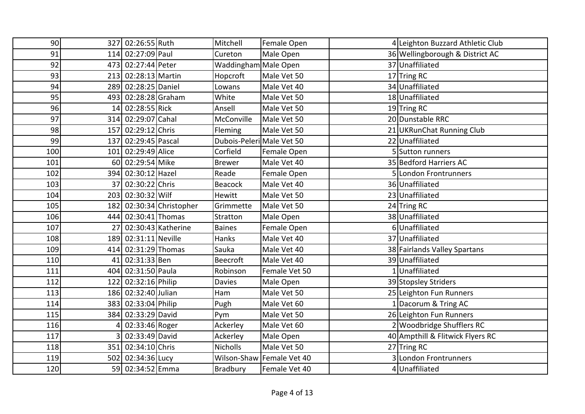| 90 <sub>l</sub> |    | 327 02:26:55 Ruth    |                          | Mitchell                  | Female Open               | 4 Leighton Buzzard Athletic Club |
|-----------------|----|----------------------|--------------------------|---------------------------|---------------------------|----------------------------------|
| 91              |    | 114 02:27:09 Paul    |                          | Cureton                   | Male Open                 | 36 Wellingborough & District AC  |
| 92              |    | 473 02:27:44 Peter   |                          | Waddingham Male Open      |                           | 37 Unaffiliated                  |
| 93              |    | 213 02:28:13 Martin  |                          | Hopcroft                  | Male Vet 50               | 17 Tring RC                      |
| 94              |    | 289 02:28:25 Daniel  |                          | Lowans                    | Male Vet 40               | 34 Unaffiliated                  |
| 95              |    | 493 02:28:28 Graham  |                          | White                     | Male Vet 50               | 18 Unaffiliated                  |
| 96              |    | 14 02:28:55 Rick     |                          | Ansell                    | Male Vet 50               | 19Tring RC                       |
| 97              |    | 314 02:29:07 Cahal   |                          | McConville                | Male Vet 50               | 20 Dunstable RRC                 |
| 98              |    | 157 02:29:12 Chris   |                          | Fleming                   | Male Vet 50               | 21 UKRunChat Running Club        |
| 99              |    | 137 02:29:45 Pascal  |                          | Dubois-Peleri Male Vet 50 |                           | 22 Unaffiliated                  |
| 100             |    | 101 02:29:49 Alice   |                          | Corfield                  | Female Open               | 5 Sutton runners                 |
| 101             |    | 60 02:29:54 Mike     |                          | <b>Brewer</b>             | Male Vet 40               | 35 Bedford Harriers AC           |
| 102             |    | 394 02:30:12 Hazel   |                          | Reade                     | Female Open               | 5 London Frontrunners            |
| 103             |    | 37 02:30:22 Chris    |                          | Beacock                   | Male Vet 40               | 36 Unaffiliated                  |
| 104             |    | 203 02:30:32 Wilf    |                          | Hewitt                    | Male Vet 50               | 23 Unaffiliated                  |
| 105             |    |                      | 182 02:30:34 Christopher | Grimmette                 | Male Vet 50               | 24 Tring RC                      |
| 106             |    | 444 02:30:41 Thomas  |                          | Stratton                  | Male Open                 | 38 Unaffiliated                  |
| 107             | 27 |                      | $02:30:43$ Katherine     | <b>Baines</b>             | Female Open               | 6Unaffiliated                    |
| 108             |    | 189 02:31:11 Neville |                          | Hanks                     | Male Vet 40               | 37 Unaffiliated                  |
| 109             |    | 414 02:31:29 Thomas  |                          | Sauka                     | Male Vet 40               | 38 Fairlands Valley Spartans     |
| 110             |    | 41 02:31:33 Ben      |                          | <b>Beecroft</b>           | Male Vet 40               | 39 Unaffiliated                  |
| 111             |    | 404 02:31:50 Paula   |                          | Robinson                  | Female Vet 50             | 1Unaffiliated                    |
| 112             |    | 122 02:32:16 Philip  |                          | <b>Davies</b>             | Male Open                 | 39 Stopsley Striders             |
| 113             |    | 186 02:32:40 Julian  |                          | Ham                       | Male Vet 50               | 25 Leighton Fun Runners          |
| 114             |    | 383 02:33:04 Philip  |                          | Pugh                      | Male Vet 60               | 1 Dacorum & Tring AC             |
| 115             |    | 384 02:33:29 David   |                          | Pym                       | Male Vet 50               | 26 Leighton Fun Runners          |
| 116             |    | 02:33:46 Roger       |                          | Ackerley                  | Male Vet 60               | 2 Woodbridge Shufflers RC        |
| 117             |    | 02:33:49 David       |                          | Ackerley                  | Male Open                 | 40 Ampthill & Flitwick Flyers RC |
| 118             |    | 351 02:34:10 Chris   |                          | <b>Nicholls</b>           | Male Vet 50               | 27 Tring RC                      |
| 119             |    | 502 02:34:36 Lucy    |                          |                           | Wilson-Shaw Female Vet 40 | 3 London Frontrunners            |
| 120             |    | 59 02:34:52 Emma     |                          | Bradbury                  | Female Vet 40             | 4 Unaffiliated                   |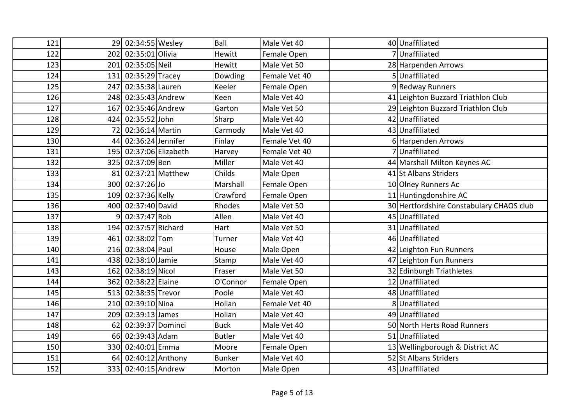| 121 |    | 29 02:34:55 Wesley     | Ball          | Male Vet 40   | 40 Unaffiliated                          |
|-----|----|------------------------|---------------|---------------|------------------------------------------|
| 122 |    | 202 02:35:01 Olivia    | Hewitt        | Female Open   | 7Unaffiliated                            |
| 123 |    | 201 02:35:05 Neil      | Hewitt        | Male Vet 50   | 28 Harpenden Arrows                      |
| 124 |    | 131 02:35:29 Tracey    | Dowding       | Female Vet 40 | 5Unaffiliated                            |
| 125 |    | 247 02:35:38 Lauren    | Keeler        | Female Open   | 9 Redway Runners                         |
| 126 |    | 248 02:35:43 Andrew    | Keen          | Male Vet 40   | 41 Leighton Buzzard Triathlon Club       |
| 127 |    | 167 02:35:46 Andrew    | Garton        | Male Vet 50   | 29 Leighton Buzzard Triathlon Club       |
| 128 |    | 424 02:35:52 John      | Sharp         | Male Vet 40   | 42 Unaffiliated                          |
| 129 | 72 | 02:36:14 Martin        | Carmody       | Male Vet 40   | 43 Unaffiliated                          |
| 130 |    | 44 02:36:24 Jennifer   | Finlay        | Female Vet 40 | 6 Harpenden Arrows                       |
| 131 |    | 195 02:37:06 Elizabeth | Harvey        | Female Vet 40 | 7Unaffiliated                            |
| 132 |    | 325 02:37:09 Ben       | Miller        | Male Vet 40   | 44 Marshall Milton Keynes AC             |
| 133 | 81 | 02:37:21 Matthew       | Childs        | Male Open     | 41 St Albans Striders                    |
| 134 |    | 300 02:37:26 Jo        | Marshall      | Female Open   | 10 Olney Runners Ac                      |
| 135 |    | 109 02:37:36 Kelly     | Crawford      | Female Open   | 11 Huntingdonshire AC                    |
| 136 |    | 400 02:37:40 David     | Rhodes        | Male Vet 50   | 30 Hertfordshire Constabulary CHAOS club |
| 137 |    | 02:37:47 Rob           | Allen         | Male Vet 40   | 45 Unaffiliated                          |
| 138 |    | 194 02:37:57 Richard   | Hart          | Male Vet 50   | 31 Unaffiliated                          |
| 139 |    | 461 02:38:02 Tom       | Turner        | Male Vet 40   | 46 Unaffiliated                          |
| 140 |    | 216 02:38:04 Paul      | House         | Male Open     | 42 Leighton Fun Runners                  |
| 141 |    | 438 02:38:10 Jamie     | Stamp         | Male Vet 40   | 47 Leighton Fun Runners                  |
| 143 |    | 162 02:38:19 Nicol     | Fraser        | Male Vet 50   | 32 Edinburgh Triathletes                 |
| 144 |    | 362 02:38:22 Elaine    | O'Connor      | Female Open   | 12 Unaffiliated                          |
| 145 |    | 513 02:38:35 Trevor    | Poole         | Male Vet 40   | 48 Unaffiliated                          |
| 146 |    | 210 02:39:10 Nina      | Holian        | Female Vet 40 | 8Unaffiliated                            |
| 147 |    | 209 02:39:13 James     | Holian        | Male Vet 40   | 49 Unaffiliated                          |
| 148 |    | 62 02:39:37 Dominci    | <b>Buck</b>   | Male Vet 40   | 50 North Herts Road Runners              |
| 149 |    | 66 02:39:43 Adam       | <b>Butler</b> | Male Vet 40   | 51 Unaffiliated                          |
| 150 |    | 330 02:40:01 Emma      | Moore         | Female Open   | 13 Wellingborough & District AC          |
| 151 |    | 64 02:40:12 Anthony    | <b>Bunker</b> | Male Vet 40   | 52 St Albans Striders                    |
| 152 |    | 333 02:40:15 Andrew    | Morton        | Male Open     | 43 Unaffiliated                          |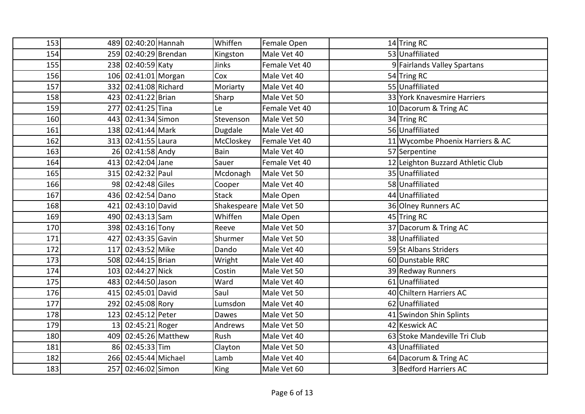| 153 |     | 489 02:40:20 Hannah  |                      | Whiffen                   | Female Open   | 14 Tring RC                       |
|-----|-----|----------------------|----------------------|---------------------------|---------------|-----------------------------------|
| 154 |     | 259 02:40:29 Brendan |                      | Kingston                  | Male Vet 40   | 53 Unaffiliated                   |
| 155 |     | 238 02:40:59 Katy    |                      | Jinks                     | Female Vet 40 | 9 Fairlands Valley Spartans       |
| 156 |     | 106 02:41:01 Morgan  |                      | Cox                       | Male Vet 40   | 54 Tring RC                       |
| 157 |     | 332 02:41:08 Richard |                      | Moriarty                  | Male Vet 40   | 55 Unaffiliated                   |
| 158 |     | 423 02:41:22 Brian   |                      | Sharp                     | Male Vet 50   | 33 York Knavesmire Harriers       |
| 159 | 277 | 02:41:25 Tina        |                      | Le                        | Female Vet 40 | 10 Dacorum & Tring AC             |
| 160 |     | 443 02:41:34 Simon   |                      | Stevenson                 | Male Vet 50   | 34 Tring RC                       |
| 161 |     | 138 02:41:44 Mark    |                      | Dugdale                   | Male Vet 40   | 56 Unaffiliated                   |
| 162 |     | 313 02:41:55 Laura   |                      | McCloskey                 | Female Vet 40 | 11 Wycombe Phoenix Harriers & AC  |
| 163 |     | 26 02:41:58 Andy     |                      | Bain                      | Male Vet 40   | 57 Serpentine                     |
| 164 |     | 413 02:42:04 Jane    |                      | Sauer                     | Female Vet 40 | 12 Leighton Buzzard Athletic Club |
| 165 |     | 315 02:42:32 Paul    |                      | Mcdonagh                  | Male Vet 50   | 35 Unaffiliated                   |
| 166 |     | 98 02:42:48 Giles    |                      | Cooper                    | Male Vet 40   | 58 Unaffiliated                   |
| 167 |     | 436 02:42:54 Dano    |                      | <b>Stack</b>              | Male Open     | 44 Unaffiliated                   |
| 168 |     | 421 02:43:10 David   |                      | Shakespeare   Male Vet 50 |               | 36 Olney Runners AC               |
| 169 |     | 490 02:43:13 Sam     |                      | Whiffen                   | Male Open     | 45 Tring RC                       |
| 170 |     | 398 02:43:16 Tony    |                      | Reeve                     | Male Vet 50   | 37 Dacorum & Tring AC             |
| 171 | 427 | 02:43:35 Gavin       |                      | Shurmer                   | Male Vet 50   | 38 Unaffiliated                   |
| 172 |     | 117 02:43:52 Mike    |                      | Dando                     | Male Vet 40   | 59 St Albans Striders             |
| 173 |     | 508 02:44:15 Brian   |                      | Wright                    | Male Vet 40   | 60 Dunstable RRC                  |
| 174 |     | 103 02:44:27 Nick    |                      | Costin                    | Male Vet 50   | 39 Redway Runners                 |
| 175 |     | 483 02:44:50 Jason   |                      | Ward                      | Male Vet 40   | 61 Unaffiliated                   |
| 176 | 415 | 02:45:01 David       |                      | Saul                      | Male Vet 50   | 40 Chiltern Harriers AC           |
| 177 |     | 292 02:45:08 Rory    |                      | Lumsdon                   | Male Vet 40   | 62 Unaffiliated                   |
| 178 |     | 123 02:45:12 Peter   |                      | Dawes                     | Male Vet 50   | 41 Swindon Shin Splints           |
| 179 |     | 13 02:45:21 Roger    |                      | Andrews                   | Male Vet 50   | 42 Keswick AC                     |
| 180 |     |                      | 409 02:45:26 Matthew | Rush                      | Male Vet 40   | 63 Stoke Mandeville Tri Club      |
| 181 | 86  | $02:45:33$ Tim       |                      | Clayton                   | Male Vet 50   | 43 Unaffiliated                   |
| 182 |     | 266 02:45:44 Michael |                      | Lamb                      | Male Vet 40   | 64 Dacorum & Tring AC             |
| 183 |     | 257 02:46:02 Simon   |                      | King                      | Male Vet 60   | 3 Bedford Harriers AC             |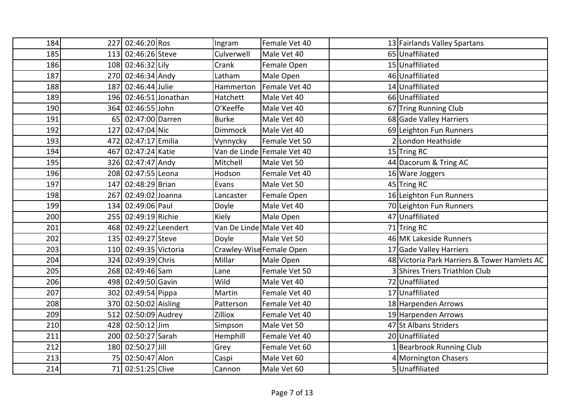| 184 |     | 227 02:46:20 Ros      | Ingram                   | Female Vet 40              | 13 Fairlands Valley Spartans                 |
|-----|-----|-----------------------|--------------------------|----------------------------|----------------------------------------------|
| 185 |     | 113 02:46:26 Steve    | Culverwell               | Male Vet 40                | 65 Unaffiliated                              |
| 186 |     | 108 02:46:32 Lily     | Crank                    | Female Open                | 15 Unaffiliated                              |
| 187 |     | 270 02:46:34 Andy     | Latham                   | Male Open                  | 46 Unaffiliated                              |
| 188 |     | 187 02:46:44 Julie    | Hammerton                | Female Vet 40              | 14 Unaffiliated                              |
| 189 |     | 196 02:46:51 Jonathan | Hatchett                 | Male Vet 40                | 66 Unaffiliated                              |
| 190 |     | 364 02:46:55 John     | O'Keeffe                 | Male Vet 40                | 67 Tring Running Club                        |
| 191 |     | 65 02:47:00 Darren    | <b>Burke</b>             | Male Vet 40                | 68 Gade Valley Harriers                      |
| 192 | 127 | 02:47:04 Nic          | Dimmock                  | Male Vet 40                | 69 Leighton Fun Runners                      |
| 193 |     | 472 02:47:17 Emilia   | Vynnycky                 | Female Vet 50              | 2 London Heathside                           |
| 194 |     | 467 02:47:24 Katie    |                          | Van de Linde Female Vet 40 | 15 Tring RC                                  |
| 195 |     | 326 02:47:47 Andy     | Mitchell                 | Male Vet 50                | 44 Dacorum & Tring AC                        |
| 196 |     | 208 02:47:55 Leona    | Hodson                   | Female Vet 40              | 16 Ware Joggers                              |
| 197 |     | 147 02:48:29 Brian    | Evans                    | Male Vet 50                | 45 Tring RC                                  |
| 198 |     | 267 02:49:02 Joanna   | Lancaster                | Female Open                | 16 Leighton Fun Runners                      |
| 199 |     | 134 02:49:06 Paul     | Doyle                    | Male Vet 40                | 70 Leighton Fun Runners                      |
| 200 |     | 255 02:49:19 Richie   | Kiely                    | Male Open                  | 47 Unaffiliated                              |
| 201 |     | 468 02:49:22 Leendert | Van De Linde Male Vet 40 |                            | 71 Tring RC                                  |
| 202 |     | 135 02:49:27 Steve    | Doyle                    | Male Vet 50                | 46 MK Lakeside Runners                       |
| 203 |     | 110 02:49:35 Victoria |                          | Crawley-Wise Female Open   | 17 Gade Valley Harriers                      |
| 204 |     | 324 02:49:39 Chris    | Millar                   | Male Open                  | 48 Victoria Park Harriers & Tower Hamlets AC |
| 205 |     | 268 02:49:46 Sam      | Lane                     | Female Vet 50              | 3 Shires Triers Triathlon Club               |
| 206 |     | 498 02:49:50 Gavin    | Wild                     | Male Vet 40                | 72 Unaffiliated                              |
| 207 |     | 302 02:49:54 Pippa    | Martin                   | Female Vet 40              | 17 Unaffiliated                              |
| 208 |     | 370 02:50:02 Aisling  | Patterson                | Female Vet 40              | 18 Harpenden Arrows                          |
| 209 |     | 512 02:50:09 Audrey   | Zilliox                  | Female Vet 40              | 19 Harpenden Arrows                          |
| 210 |     | 428 02:50:12 Jim      | Simpson                  | Male Vet 50                | 47 St Albans Striders                        |
| 211 |     | 200 02:50:27 Sarah    | Hemphill                 | Female Vet 40              | 20 Unaffiliated                              |
| 212 |     | 180 02:50:27 Jill     | Grey                     | Female Vet 60              | 1 Bearbrook Running Club                     |
| 213 |     | 75 02:50:47 Alon      | Caspi                    | Male Vet 60                | 4 Mornington Chasers                         |
| 214 |     | 71 02:51:25 Clive     | Cannon                   | Male Vet 60                | 5Unaffiliated                                |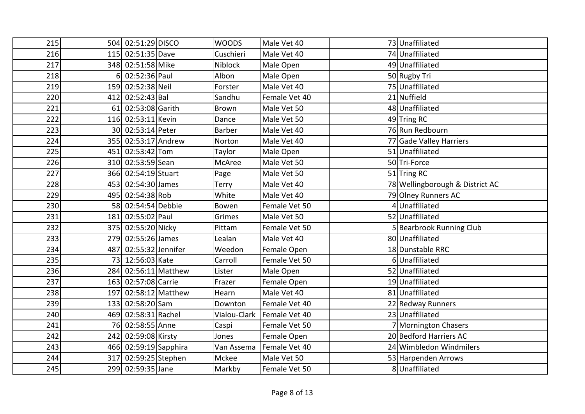| 215 |     | 504 02:51:29 DISCO    | <b>WOODS</b>  | Male Vet 40   | 73 Unaffiliated                 |
|-----|-----|-----------------------|---------------|---------------|---------------------------------|
| 216 |     | 115 02:51:35 Dave     | Cuschieri     | Male Vet 40   | 74 Unaffiliated                 |
| 217 |     | 348 02:51:58 Mike     | Niblock       | Male Open     | 49 Unaffiliated                 |
| 218 | 6   | 02:52:36 Paul         | Albon         | Male Open     | 50 Rugby Tri                    |
| 219 |     | 159 02:52:38 Neil     | Forster       | Male Vet 40   | 75 Unaffiliated                 |
| 220 |     | 412 02:52:43 Bal      | Sandhu        | Female Vet 40 | 21 Nuffield                     |
| 221 |     | 61 02:53:08 Garith    | Brown         | Male Vet 50   | 48 Unaffiliated                 |
| 222 |     | 116 02:53:11 Kevin    | Dance         | Male Vet 50   | 49 Tring RC                     |
| 223 |     | 30 02:53:14 Peter     | <b>Barber</b> | Male Vet 40   | 76 Run Redbourn                 |
| 224 |     | 355 02:53:17 Andrew   | Norton        | Male Vet 40   | 77 Gade Valley Harriers         |
| 225 |     | 451 02:53:42 Tom      | Taylor        | Male Open     | 51 Unaffiliated                 |
| 226 |     | 310 02:53:59 Sean     | McAree        | Male Vet 50   | 50Tri-Force                     |
| 227 |     | 366 02:54:19 Stuart   | Page          | Male Vet 50   | 51 Tring RC                     |
| 228 |     | 453 02:54:30 James    | Terry         | Male Vet 40   | 78 Wellingborough & District AC |
| 229 |     | 495 02:54:38 Rob      | White         | Male Vet 40   | 79 Olney Runners AC             |
| 230 |     | 58 02:54:54 Debbie    | Bowen         | Female Vet 50 | 4 Unaffiliated                  |
| 231 |     | 181 02:55:02 Paul     | Grimes        | Male Vet 50   | 52 Unaffiliated                 |
| 232 |     | 375 02:55:20 Nicky    | Pittam        | Female Vet 50 | 5 Bearbrook Running Club        |
| 233 |     | 279 02:55:26 James    | Lealan        | Male Vet 40   | 80 Unaffiliated                 |
| 234 |     | 487 02:55:32 Jennifer | Weedon        | Female Open   | 18 Dunstable RRC                |
| 235 |     | 73 12:56:03 Kate      | Carroll       | Female Vet 50 | 6Unaffiliated                   |
| 236 |     | 284 02:56:11 Matthew  | Lister        | Male Open     | 52 Unaffiliated                 |
| 237 |     | 163 02:57:08 Carrie   | Frazer        | Female Open   | 19 Unaffiliated                 |
| 238 |     | 197 02:58:12 Matthew  | Hearn         | Male Vet 40   | 81 Unaffiliated                 |
| 239 |     | 133 02:58:20 Sam      | Downton       | Female Vet 40 | 22 Redway Runners               |
| 240 |     | 469 02:58:31 Rachel   | Vialou-Clark  | Female Vet 40 | 23 Unaffiliated                 |
| 241 |     | 76 02:58:55 Anne      | Caspi         | Female Vet 50 | 7 Mornington Chasers            |
| 242 |     | 242 02:59:08 Kirsty   | Jones         | Female Open   | 20 Bedford Harriers AC          |
| 243 |     | 466 02:59:19 Sapphira | Van Assema    | Female Vet 40 | 24 Wimbledon Windmilers         |
| 244 | 317 | 02:59:25 Stephen      | Mckee         | Male Vet 50   | 53 Harpenden Arrows             |
| 245 |     | 299 02:59:35 Jane     | Markby        | Female Vet 50 | 8 Unaffiliated                  |
|     |     |                       |               |               |                                 |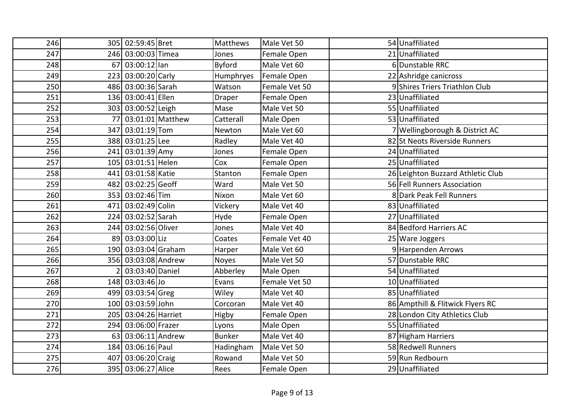| 246 |     | 305 02:59:45 Bret    |                  | Matthews       | Male Vet 50   | 54 Unaffiliated                   |
|-----|-----|----------------------|------------------|----------------|---------------|-----------------------------------|
| 247 |     | 246 03:00:03 Timea   |                  | Jones          | Female Open   | 21 Unaffiliated                   |
| 248 | 67  | $ 03:00:12 $ lan     |                  | <b>Byford</b>  | Male Vet 60   | 6Dunstable RRC                    |
| 249 |     | 223 03:00:20 Carly   |                  | Humphryes      | Female Open   | 22 Ashridge canicross             |
| 250 |     | 486 03:00:36 Sarah   |                  | Watson         | Female Vet 50 | 9 Shires Triers Triathlon Club    |
| 251 |     | 136 03:00:41 Ellen   |                  | Draper         | Female Open   | 23 Unaffiliated                   |
| 252 |     | 303 03:00:52 Leigh   |                  | Mase           | Male Vet 50   | 55 Unaffiliated                   |
| 253 | 77  |                      | 03:01:01 Matthew | Catterall      | Male Open     | 53 Unaffiliated                   |
| 254 |     | 347 03:01:19 Tom     |                  | Newton         | Male Vet 60   | 7 Wellingborough & District AC    |
| 255 |     | 388 03:01:25 Lee     |                  | Radley         | Male Vet 40   | 82 St Neots Riverside Runners     |
| 256 |     | 241 03:01:39 Amy     |                  | Jones          | Female Open   | 24 Unaffiliated                   |
| 257 |     | 105 03:01:51 Helen   |                  | Cox            | Female Open   | 25 Unaffiliated                   |
| 258 |     | 441 03:01:58 Katie   |                  | <b>Stanton</b> | Female Open   | 26 Leighton Buzzard Athletic Club |
| 259 | 482 | 03:02:25 Geoff       |                  | Ward           | Male Vet 50   | 56 Fell Runners Association       |
| 260 |     | 353 03:02:46 Tim     |                  | Nixon          | Male Vet 60   | 8 Dark Peak Fell Runners          |
| 261 |     | 471 03:02:49 Colin   |                  | Vickery        | Male Vet 40   | 83 Unaffiliated                   |
| 262 |     | 224 03:02:52 Sarah   |                  | Hyde           | Female Open   | 27 Unaffiliated                   |
| 263 |     | 244 03:02:56 Oliver  |                  | Jones          | Male Vet 40   | 84 Bedford Harriers AC            |
| 264 |     | 89 03:03:00 Liz      |                  | Coates         | Female Vet 40 | 25 Ware Joggers                   |
| 265 |     | 190 03:03:04 Graham  |                  | Harper         | Male Vet 60   | 9 Harpenden Arrows                |
| 266 |     | 356 03:03:08 Andrew  |                  | Noyes          | Male Vet 50   | 57 Dunstable RRC                  |
| 267 |     | 03:03:40 Daniel      |                  | Abberley       | Male Open     | 54 Unaffiliated                   |
| 268 |     | 148 03:03:46 Jo      |                  | Evans          | Female Vet 50 | 10 Unaffiliated                   |
| 269 |     | 499 03:03:54 Greg    |                  | Wiley          | Male Vet 40   | 85 Unaffiliated                   |
| 270 |     | 100 03:03:59 John    |                  | Corcoran       | Male Vet 40   | 86 Ampthill & Flitwick Flyers RC  |
| 271 |     | 205 03:04:26 Harriet |                  | Higby          | Female Open   | 28 London City Athletics Club     |
| 272 |     | 294 03:06:00 Frazer  |                  | Lyons          | Male Open     | 55 Unaffiliated                   |
| 273 | 63  | 03:06:11 Andrew      |                  | <b>Bunker</b>  | Male Vet 40   | 87 Higham Harriers                |
| 274 |     | 184 03:06:16 Paul    |                  | Hadingham      | Male Vet 50   | 58 Redwell Runners                |
| 275 |     | 407 03:06:20 Craig   |                  | Rowand         | Male Vet 50   | 59 Run Redbourn                   |
| 276 |     | 395 03:06:27 Alice   |                  | Rees           | Female Open   | 29 Unaffiliated                   |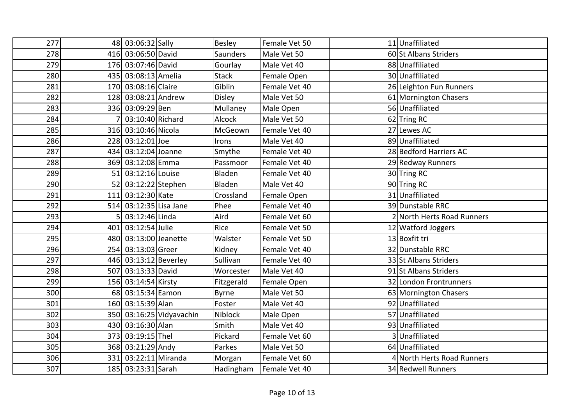| 277 | 48 03:06:32 Sally      |                          | Besley        | Female Vet 50 | 11 Unaffiliated            |
|-----|------------------------|--------------------------|---------------|---------------|----------------------------|
| 278 | 416 03:06:50 David     |                          | Saunders      | Male Vet 50   | 60 St Albans Striders      |
| 279 | 176 03:07:46 David     |                          | Gourlay       | Male Vet 40   | 88 Unaffiliated            |
| 280 | 435 03:08:13 Amelia    |                          | <b>Stack</b>  | Female Open   | 30 Unaffiliated            |
| 281 | 170 03:08:16 Claire    |                          | Giblin        | Female Vet 40 | 26 Leighton Fun Runners    |
| 282 | 128 03:08:21 Andrew    |                          | <b>Disley</b> | Male Vet 50   | 61 Mornington Chasers      |
| 283 | 336 03:09:29 Ben       |                          | Mullaney      | Male Open     | 56 Unaffiliated            |
| 284 | 03:10:40 Richard       |                          | <b>Alcock</b> | Male Vet 50   | 62 Tring RC                |
| 285 | 316 03:10:46 Nicola    |                          | McGeown       | Female Vet 40 | 27 Lewes AC                |
| 286 | 228 03:12:01 Joe       |                          | Irons         | Male Vet 40   | 89 Unaffiliated            |
| 287 | 434 03:12:04 Joanne    |                          | Smythe        | Female Vet 40 | 28 Bedford Harriers AC     |
| 288 | 369 03:12:08 Emma      |                          | Passmoor      | Female Vet 40 | 29 Redway Runners          |
| 289 | 51 03:12:16 Louise     |                          | Bladen        | Female Vet 40 | 30 Tring RC                |
| 290 | 52 03:12:22 Stephen    |                          | Bladen        | Male Vet 40   | 90 Tring RC                |
| 291 | 111 03:12:30 Kate      |                          | Crossland     | Female Open   | 31 Unaffiliated            |
| 292 | 514 03:12:35 Lisa Jane |                          | Phee          | Female Vet 40 | 39 Dunstable RRC           |
| 293 | 03:12:46 Linda         |                          | Aird          | Female Vet 60 | 2 North Herts Road Runners |
| 294 | 401 03:12:54 Julie     |                          | Rice          | Female Vet 50 | 12 Watford Joggers         |
| 295 | 480 03:13:00 Jeanette  |                          | Walster       | Female Vet 50 | 13 Boxfit tri              |
| 296 | 254 03:13:03 Greer     |                          | Kidney        | Female Vet 40 | 32 Dunstable RRC           |
| 297 | 446 03:13:12 Beverley  |                          | Sullivan      | Female Vet 40 | 33 St Albans Striders      |
| 298 | 507 03:13:33 David     |                          | Worcester     | Male Vet 40   | 91 St Albans Striders      |
| 299 | 156 03:14:54 Kirsty    |                          | Fitzgerald    | Female Open   | 32 London Frontrunners     |
| 300 | 68 03:15:34 Eamon      |                          | Byrne         | Male Vet 50   | 63 Mornington Chasers      |
| 301 | 160 03:15:39 Alan      |                          | Foster        | Male Vet 40   | 92 Unaffiliated            |
| 302 |                        | 350 03:16:25 Vidyavachin | Niblock       | Male Open     | 57 Unaffiliated            |
| 303 | 430 03:16:30 Alan      |                          | Smith         | Male Vet 40   | 93 Unaffiliated            |
| 304 | 373 03:19:15 Thel      |                          | Pickard       | Female Vet 60 | 3 Unaffiliated             |
| 305 | 368 03:21:29 Andy      |                          | Parkes        | Male Vet 50   | 64 Unaffiliated            |
| 306 | 331 03:22:11 Miranda   |                          | Morgan        | Female Vet 60 | 4 North Herts Road Runners |
| 307 | 185 03:23:31 Sarah     |                          | Hadingham     | Female Vet 40 | 34 Redwell Runners         |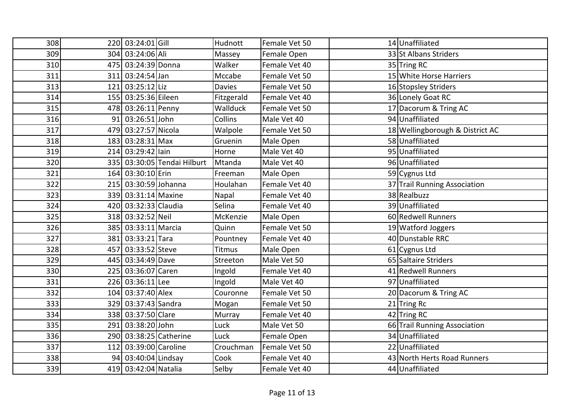| 308 |     | 220 03:24:01 Gill    |                             | Hudnott       | Female Vet 50 | 14 Unaffiliated                 |
|-----|-----|----------------------|-----------------------------|---------------|---------------|---------------------------------|
| 309 |     | 304 03:24:06 Ali     |                             | Massey        | Female Open   | 33 St Albans Striders           |
| 310 |     | 475 03:24:39 Donna   |                             | Walker        | Female Vet 40 | 35 Tring RC                     |
| 311 |     | 311 03:24:54 Jan     |                             | Mccabe        | Female Vet 50 | 15 White Horse Harriers         |
| 313 |     | 121 03:25:12 Liz     |                             | <b>Davies</b> | Female Vet 50 | 16 Stopsley Striders            |
| 314 |     | 155 03:25:36 Eileen  |                             | Fitzgerald    | Female Vet 40 | 36 Lonely Goat RC               |
| 315 |     | 478 03:26:11 Penny   |                             | Wallduck      | Female Vet 50 | 17 Dacorum & Tring AC           |
| 316 |     | 91 03:26:51 John     |                             | Collins       | Male Vet 40   | 94 Unaffiliated                 |
| 317 |     | 479 03:27:57 Nicola  |                             | Walpole       | Female Vet 50 | 18 Wellingborough & District AC |
| 318 |     | 183 03:28:31 Max     |                             | Gruenin       | Male Open     | 58 Unaffiliated                 |
| 319 |     | 214 03:29:42 lain    |                             | Horne         | Male Vet 40   | 95 Unaffiliated                 |
| 320 |     |                      | 335 03:30:05 Tendai Hilburt | Mtanda        | Male Vet 40   | 96 Unaffiliated                 |
| 321 |     | 164 03:30:10 Erin    |                             | Freeman       | Male Open     | 59 Cygnus Ltd                   |
| 322 |     | 215 03:30:59 Johanna |                             | Houlahan      | Female Vet 40 | 37 Trail Running Association    |
| 323 |     | 339 03:31:14 Maxine  |                             | Napal         | Female Vet 40 | 38 Realbuzz                     |
| 324 |     | 420 03:32:33 Claudia |                             | Selina        | Female Vet 40 | 39 Unaffiliated                 |
| 325 |     | 318 03:32:52 Neil    |                             | McKenzie      | Male Open     | 60 Redwell Runners              |
| 326 |     | 385 03:33:11 Marcia  |                             | Quinn         | Female Vet 50 | 19 Watford Joggers              |
| 327 |     | 381 03:33:21 Tara    |                             | Pountney      | Female Vet 40 | 40 Dunstable RRC                |
| 328 |     | 457 03:33:52 Steve   |                             | Titmus        | Male Open     | 61 Cygnus Ltd                   |
| 329 |     | 445 03:34:49 Dave    |                             | Streeton      | Male Vet 50   | 65 Saltaire Striders            |
| 330 |     | 225 03:36:07 Caren   |                             | Ingold        | Female Vet 40 | 41 Redwell Runners              |
| 331 |     | 226 03:36:11 Lee     |                             | Ingold        | Male Vet 40   | 97 Unaffiliated                 |
| 332 |     | 104 03:37:40 Alex    |                             | Couronne      | Female Vet 50 | 20 Dacorum & Tring AC           |
| 333 |     | 329 03:37:43 Sandra  |                             | Mogan         | Female Vet 50 | 21 Tring Rc                     |
| 334 |     | 338 03:37:50 Clare   |                             | Murray        | Female Vet 40 | 42 Tring RC                     |
| 335 |     | 291 03:38:20 John    |                             | Luck          | Male Vet 50   | 66 Trail Running Association    |
| 336 |     |                      | 290 03:38:25 Catherine      | Luck          | Female Open   | 34 Unaffiliated                 |
| 337 | 112 | 03:39:00 Caroline    |                             | Crouchman     | Female Vet 50 | 22 Unaffiliated                 |
| 338 |     | 94 03:40:04 Lindsay  |                             | Cook          | Female Vet 40 | 43 North Herts Road Runners     |
| 339 |     | 419 03:42:04 Natalia |                             | Selby         | Female Vet 40 | 44 Unaffiliated                 |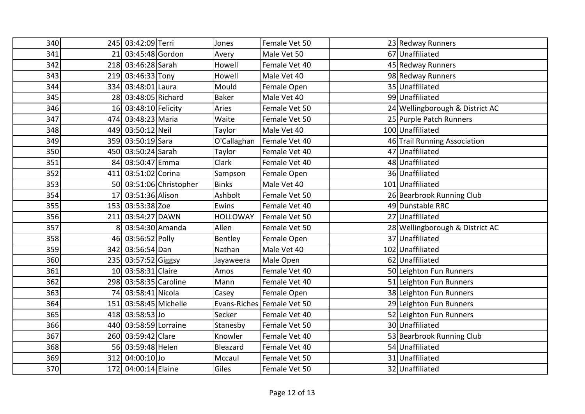| 340 | 245 03:42:09 Terri    |                         | Jones           | Female Vet 50                | 23 Redway Runners               |
|-----|-----------------------|-------------------------|-----------------|------------------------------|---------------------------------|
| 341 | 21 03:45:48 Gordon    |                         | Avery           | Male Vet 50                  | 67 Unaffiliated                 |
| 342 | 218 03:46:28 Sarah    |                         | Howell          | Female Vet 40                | 45 Redway Runners               |
| 343 | 219 03:46:33 Tony     |                         | Howell          | Male Vet 40                  | 98 Redway Runners               |
| 344 | 334 03:48:01 Laura    |                         | Mould           | Female Open                  | 35 Unaffiliated                 |
| 345 | 28 03:48:05 Richard   |                         | <b>Baker</b>    | Male Vet 40                  | 99 Unaffiliated                 |
| 346 | 16 03:48:10 Felicity  |                         | Aries           | Female Vet 50                | 24 Wellingborough & District AC |
| 347 | 474 03:48:23 Maria    |                         | Waite           | Female Vet 50                | 25 Purple Patch Runners         |
| 348 | 449 03:50:12 Neil     |                         | Taylor          | Male Vet 40                  | 100 Unaffiliated                |
| 349 | 359 03:50:19 Sara     |                         | O'Callaghan     | Female Vet 40                | 46 Trail Running Association    |
| 350 | 450 03:50:24 Sarah    |                         | Taylor          | Female Vet 40                | 47 Unaffiliated                 |
| 351 | 84 03:50:47 Emma      |                         | Clark           | Female Vet 40                | 48 Unaffiliated                 |
| 352 | 411 03:51:02 Corina   |                         | Sampson         | Female Open                  | 36 Unaffiliated                 |
| 353 |                       | 50 03:51:06 Christopher | <b>Binks</b>    | Male Vet 40                  | 101 Unaffiliated                |
| 354 | 17 03:51:36 Alison    |                         | Ashbolt         | Female Vet 50                | 26 Bearbrook Running Club       |
| 355 | 153 03:53:38 Zoe      |                         | Ewins           | Female Vet 40                | 49 Dunstable RRC                |
| 356 | 211 03:54:27 DAWN     |                         | <b>HOLLOWAY</b> | Female Vet 50                | 27 Unaffiliated                 |
| 357 | 03:54:30 Amanda       |                         | Allen           | Female Vet 50                | 28 Wellingborough & District AC |
| 358 | 46 03:56:52 Polly     |                         | Bentley         | Female Open                  | 37 Unaffiliated                 |
| 359 | 342 03:56:54 Dan      |                         | Nathan          | Male Vet 40                  | 102 Unaffiliated                |
| 360 | 235 03:57:52 Giggsy   |                         | Jayaweera       | Male Open                    | 62 Unaffiliated                 |
| 361 | 10 03:58:31 Claire    |                         | Amos            | Female Vet 40                | 50 Leighton Fun Runners         |
| 362 | 298 03:58:35 Caroline |                         | Mann            | Female Vet 40                | 51 Leighton Fun Runners         |
| 363 | 74 03:58:41 Nicola    |                         | Casey           | Female Open                  | 38 Leighton Fun Runners         |
| 364 | 151 03:58:45 Michelle |                         |                 | Evans-Riches   Female Vet 50 | 29 Leighton Fun Runners         |
| 365 | 418 03:58:53 Jo       |                         | Secker          | Female Vet 40                | 52 Leighton Fun Runners         |
| 366 | 440 03:58:59 Lorraine |                         | Stanesby        | Female Vet 50                | 30 Unaffiliated                 |
| 367 | 260 03:59:42 Clare    |                         | Knowler         | Female Vet 40                | 53 Bearbrook Running Club       |
| 368 | 56 03:59:48 Helen     |                         | Bleazard        | Female Vet 40                | 54 Unaffiliated                 |
| 369 | 312 04:00:10 Jo       |                         | Mccaul          | Female Vet 50                | 31 Unaffiliated                 |
| 370 | 172 04:00:14 Elaine   |                         | Giles           | Female Vet 50                | 32 Unaffiliated                 |